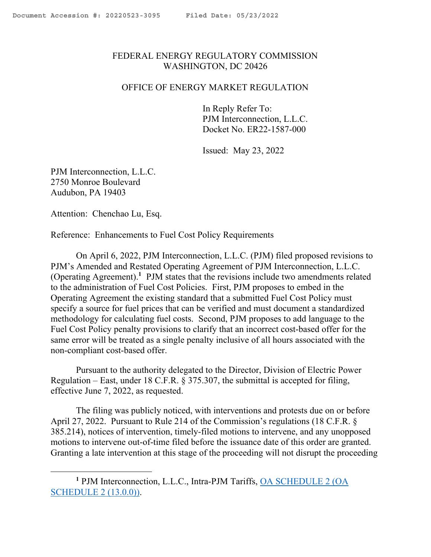## <span id="page-0-0"></span>FEDERAL ENERGY REGULATORY COMMISSION WASHINGTON, DC 20426

## OFFICE OF ENERGY MARKET REGULATION

In Reply Refer To: PJM Interconnection, L.L.C. Docket No. ER22-1587-000

Issued: May 23, 2022

PJM Interconnection, L.L.C. 2750 Monroe Boulevard Audubon, PA 19403

Attention: Chenchao Lu, Esq.

 $\overline{a}$ 

Reference: Enhancements to Fuel Cost Policy Requirements

On April 6, 2022, PJM Interconnection, L.L.C. (PJM) filed proposed revisions to PJM's Amended and Restated Operating Agreement of PJM Interconnection, L.L.C. (Operating Agreement). **1** PJM states that the revisions include two amendments related to the administration of Fuel Cost Policies. First, PJM proposes to embed in the Operating Agreement the existing standard that a submitted Fuel Cost Policy must specify a source for fuel prices that can be verified and must document a standardized methodology for calculating fuel costs. Second, PJM proposes to add language to the Fuel Cost Policy penalty provisions to clarify that an incorrect cost-based offer for the same error will be treated as a single penalty inclusive of all hours associated with the non-compliant cost-based offer.

Pursuant to the authority delegated to the Director, Division of Electric Power Regulation – East, under 18 C.F.R. § 375.307, the submittal is accepted for filing, effective June 7, 2022, as requested.

The filing was publicly noticed, with interventions and protests due on or before April 27, 2022. Pursuant to Rule 214 of the Commission's regulations (18 C.F.R. § 385.214), notices of intervention, timely-filed motions to intervene, and any unopposed motions to intervene out-of-time filed before the issuance date of this order are granted. Granting a late intervention at this stage of the proceeding will not disrupt the proceeding

**<sup>1</sup>** PJM Interconnection, L.L.C., Intra-PJM Tariffs, OA SCHEDULE 2 (OA SCHEDULE 2 (13.0.0)).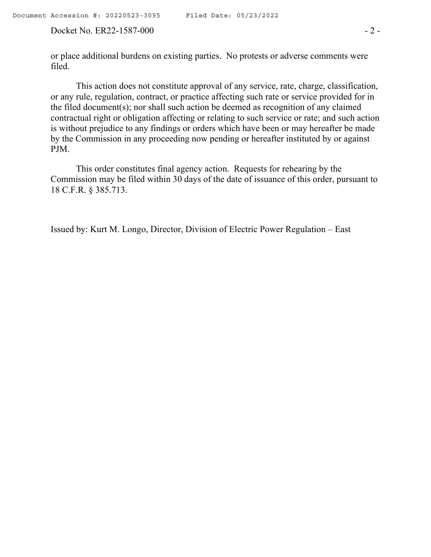or place additional burdens on existing parties. No protests or adverse comments were filed.

This action does not constitute approval of any service, rate, charge, classification, or any rule, regulation, contract, or practice affecting such rate or service provided for in the filed document(s); nor shall such action be deemed as recognition of any claimed contractual right or obligation affecting or relating to such service or rate; and such action is without prejudice to any findings or orders which have been or may hereafter be made by the Commission in any proceeding now pending or hereafter instituted by or against PJM.

This order constitutes final agency action. Requests for rehearing by the Commission may be filed within 30 days of the date of issuance of this order, pursuant to 18 C.F.R. § 385.713.

Issued by: Kurt M. Longo, Director, Division of Electric Power Regulation – East